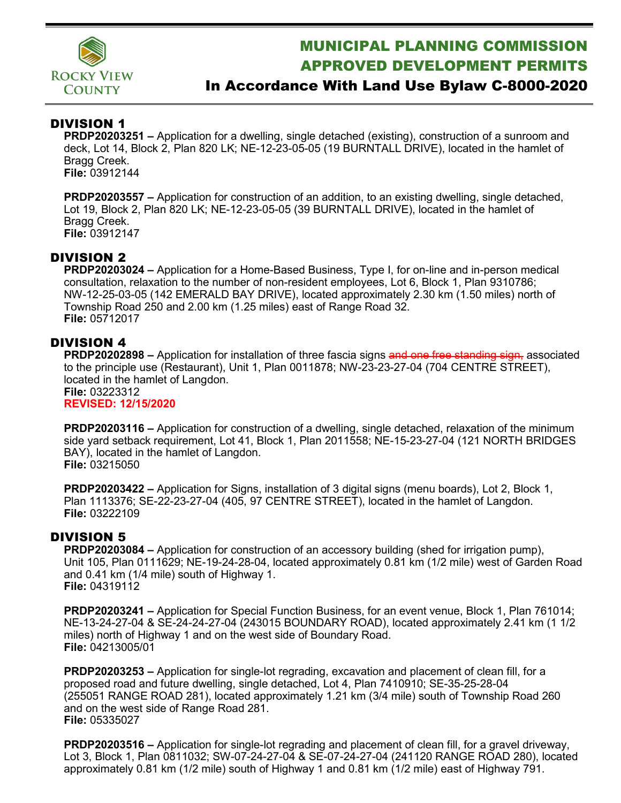

# MUNICIPAL PLANNING COMMISSION APPROVED DEVELOPMENT PERMITS

## In Accordance With Land Use Bylaw C-8000-2020

### DIVISION 1

**PRDP20203251 –** Application for a dwelling, single detached (existing), construction of a sunroom and deck, Lot 14, Block 2, Plan 820 LK; NE-12-23-05-05 (19 BURNTALL DRIVE), located in the hamlet of Bragg Creek. **File:** 03912144

**PRDP20203557 –** Application for construction of an addition, to an existing dwelling, single detached, Lot 19, Block 2, Plan 820 LK; NE-12-23-05-05 (39 BURNTALL DRIVE), located in the hamlet of Bragg Creek. **File:** 03912147

#### DIVISION 2

**PRDP20203024 –** Application for a Home-Based Business, Type I, for on-line and in-person medical consultation, relaxation to the number of non-resident employees, Lot 6, Block 1, Plan 9310786; NW-12-25-03-05 (142 EMERALD BAY DRIVE), located approximately 2.30 km (1.50 miles) north of Township Road 250 and 2.00 km (1.25 miles) east of Range Road 32. **File:** 05712017

#### DIVISION 4

**PRDP20202898** – Application for installation of three fascia signs and one free standing sign, associated to the principle use (Restaurant), Unit 1, Plan 0011878; NW-23-23-27-04 (704 CENTRE STREET), located in the hamlet of Langdon. **File:** 03223312

**REVISED: 12/15/2020**

**PRDP20203116 –** Application for construction of a dwelling, single detached, relaxation of the minimum side yard setback requirement, Lot 41, Block 1, Plan 2011558; NE-15-23-27-04 (121 NORTH BRIDGES BAY), located in the hamlet of Langdon. **File:** 03215050

**PRDP20203422 –** Application for Signs, installation of 3 digital signs (menu boards), Lot 2, Block 1, Plan 1113376; SE-22-23-27-04 (405, 97 CENTRE STREET), located in the hamlet of Langdon. **File:** 03222109

#### DIVISION 5

**PRDP20203084 –** Application for construction of an accessory building (shed for irrigation pump), Unit 105, Plan 0111629; NE-19-24-28-04, located approximately 0.81 km (1/2 mile) west of Garden Road and 0.41 km (1/4 mile) south of Highway 1. **File:** 04319112

**PRDP20203241 –** Application for Special Function Business, for an event venue, Block 1, Plan 761014; NE-13-24-27-04 & SE-24-24-27-04 (243015 BOUNDARY ROAD), located approximately 2.41 km (1 1/2 miles) north of Highway 1 and on the west side of Boundary Road. **File:** 04213005/01

**PRDP20203253 –** Application for single-lot regrading, excavation and placement of clean fill, for a proposed road and future dwelling, single detached, Lot 4, Plan 7410910; SE-35-25-28-04 (255051 RANGE ROAD 281), located approximately 1.21 km (3/4 mile) south of Township Road 260 and on the west side of Range Road 281. **File:** 05335027

**PRDP20203516 –** Application for single-lot regrading and placement of clean fill, for a gravel driveway, Lot 3, Block 1, Plan 0811032; SW-07-24-27-04 & SE-07-24-27-04 (241120 RANGE ROAD 280), located approximately 0.81 km (1/2 mile) south of Highway 1 and 0.81 km (1/2 mile) east of Highway 791.